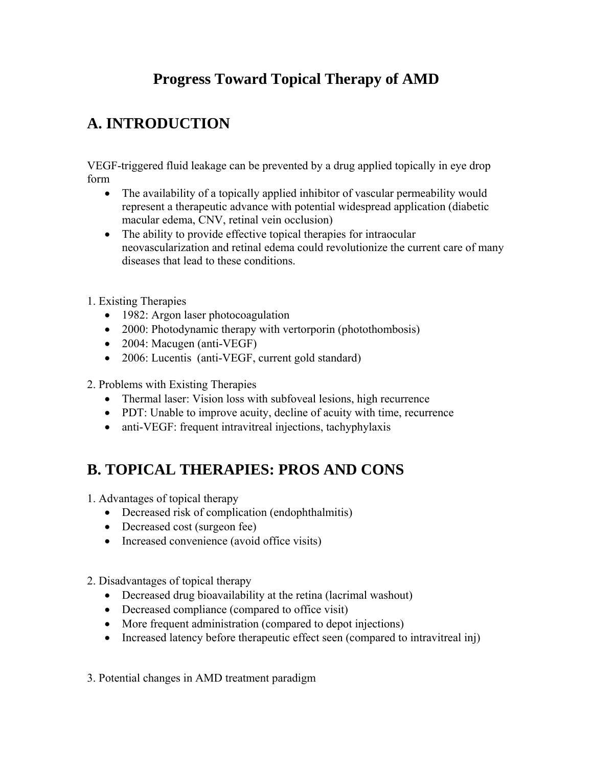# **Progress Toward Topical Therapy of AMD**

# **A. INTRODUCTION**

VEGF-triggered fluid leakage can be prevented by a drug applied topically in eye drop form

- The availability of a topically applied inhibitor of vascular permeability would represent a therapeutic advance with potential widespread application (diabetic macular edema, CNV, retinal vein occlusion)
- The ability to provide effective topical therapies for intraocular neovascularization and retinal edema could revolutionize the current care of many diseases that lead to these conditions.
- 1. Existing Therapies
	- 1982: Argon laser photocoagulation
	- 2000: Photodynamic therapy with vertorporin (photothombosis)
	- 2004: Macugen (anti-VEGF)
	- 2006: Lucentis (anti-VEGF, current gold standard)
- 2. Problems with Existing Therapies
	- Thermal laser: Vision loss with subfoveal lesions, high recurrence
	- PDT: Unable to improve acuity, decline of acuity with time, recurrence
	- anti-VEGF: frequent intravitreal injections, tachyphylaxis

# **B. TOPICAL THERAPIES: PROS AND CONS**

1. Advantages of topical therapy

- Decreased risk of complication (endophthalmitis)
- Decreased cost (surgeon fee)
- Increased convenience (avoid office visits)
- 2. Disadvantages of topical therapy
	- Decreased drug bioavailability at the retina (lacrimal washout)
	- Decreased compliance (compared to office visit)
	- More frequent administration (compared to depot injections)
	- Increased latency before therapeutic effect seen (compared to intravitreal inj)
- 3. Potential changes in AMD treatment paradigm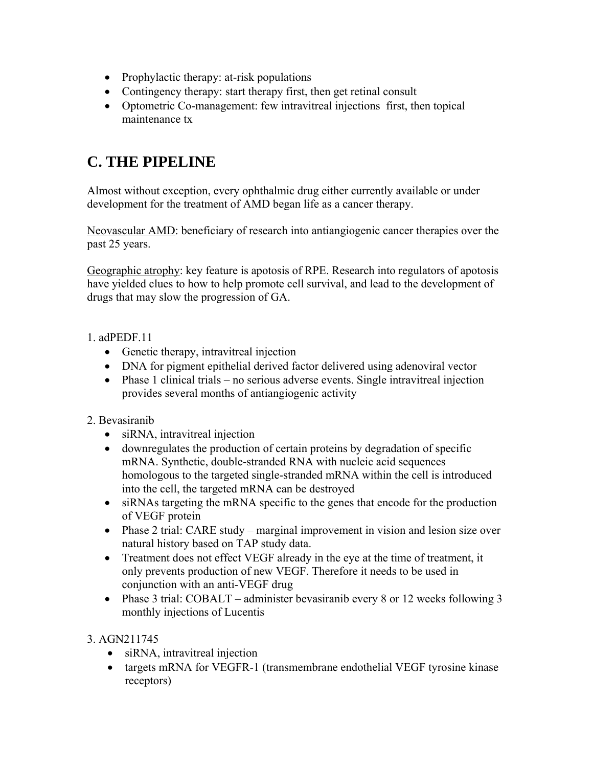- Prophylactic therapy: at-risk populations
- Contingency therapy: start therapy first, then get retinal consult
- Optometric Co-management: few intravitreal injections first, then topical maintenance tx

## **C. THE PIPELINE**

Almost without exception, every ophthalmic drug either currently available or under development for the treatment of AMD began life as a cancer therapy.

Neovascular AMD: beneficiary of research into antiangiogenic cancer therapies over the past 25 years.

Geographic atrophy: key feature is apotosis of RPE. Research into regulators of apotosis have yielded clues to how to help promote cell survival, and lead to the development of drugs that may slow the progression of GA.

#### 1. adPEDF.11

- Genetic therapy, intravitreal injection
- DNA for pigment epithelial derived factor delivered using adenoviral vector
- Phase 1 clinical trials no serious adverse events. Single intravitreal injection provides several months of antiangiogenic activity

#### 2. Bevasiranib

- siRNA, intravitreal injection
- downregulates the production of certain proteins by degradation of specific mRNA. Synthetic, double-stranded RNA with nucleic acid sequences homologous to the targeted single-stranded mRNA within the cell is introduced into the cell, the targeted mRNA can be destroyed
- siRNAs targeting the mRNA specific to the genes that encode for the production of VEGF protein
- Phase 2 trial: CARE study marginal improvement in vision and lesion size over natural history based on TAP study data.
- Treatment does not effect VEGF already in the eye at the time of treatment, it only prevents production of new VEGF. Therefore it needs to be used in conjunction with an anti-VEGF drug
- Phase 3 trial: COBALT administer bevasiranib every 8 or 12 weeks following 3 monthly injections of Lucentis

#### 3. AGN211745

- siRNA, intravitreal injection
- targets mRNA for VEGFR-1 (transmembrane endothelial VEGF tyrosine kinase receptors)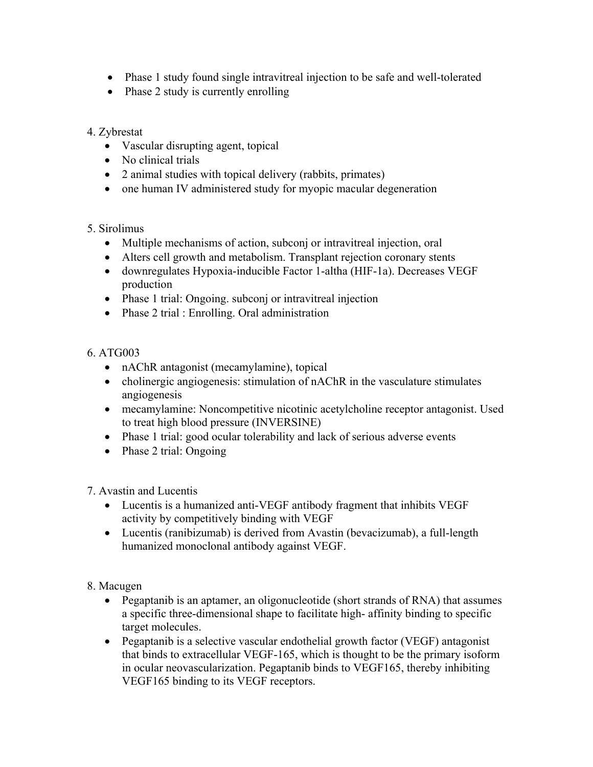- Phase 1 study found single intravitreal injection to be safe and well-tolerated
- Phase 2 study is currently enrolling

### 4. Zybrestat

- Vascular disrupting agent, topical
- No clinical trials
- 2 animal studies with topical delivery (rabbits, primates)
- one human IV administered study for myopic macular degeneration

## 5. Sirolimus

- Multiple mechanisms of action, subconj or intravitreal injection, oral
- Alters cell growth and metabolism. Transplant rejection coronary stents
- downregulates Hypoxia-inducible Factor 1-altha (HIF-1a). Decreases VEGF production
- Phase 1 trial: Ongoing. subconj or intravitreal injection
- Phase 2 trial : Enrolling. Oral administration

## 6. ATG003

- nAChR antagonist (mecamylamine), topical
- cholinergic angiogenesis: stimulation of nAChR in the vasculature stimulates angiogenesis
- mecamylamine: Noncompetitive nicotinic acetylcholine receptor antagonist. Used to treat high blood pressure (INVERSINE)
- Phase 1 trial: good ocular tolerability and lack of serious adverse events
- Phase 2 trial: Ongoing

7. Avastin and Lucentis

- Lucentis is a humanized anti-VEGF antibody fragment that inhibits VEGF activity by competitively binding with VEGF
- Lucentis (ranibizumab) is derived from Avastin (bevacizumab), a full-length humanized monoclonal antibody against VEGF.

8. Macugen

- Pegaptanib is an aptamer, an oligonucleotide (short strands of RNA) that assumes a specific three-dimensional shape to facilitate high- affinity binding to specific target molecules.
- Pegaptanib is a selective vascular endothelial growth factor (VEGF) antagonist that binds to extracellular VEGF-165, which is thought to be the primary isoform in ocular neovascularization. Pegaptanib binds to VEGF165, thereby inhibiting VEGF165 binding to its VEGF receptors.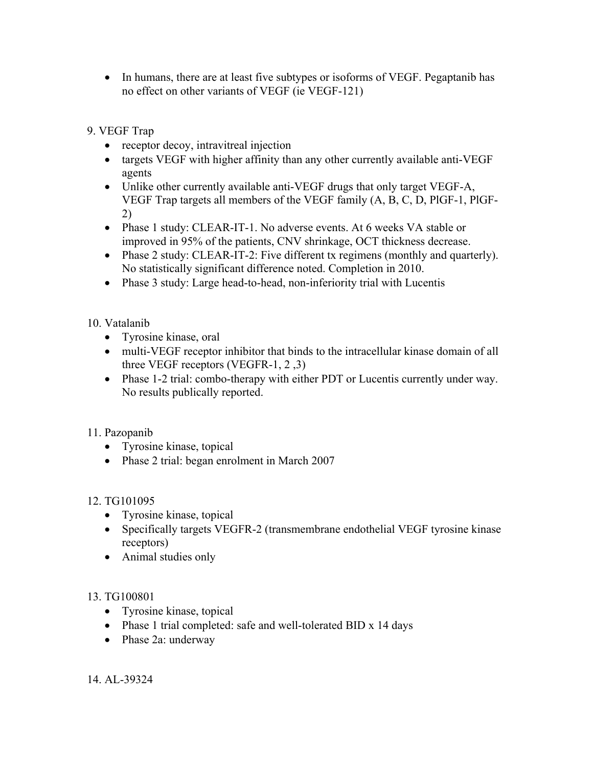- In humans, there are at least five subtypes or isoforms of VEGF. Pegaptanib has no effect on other variants of VEGF (ie VEGF-121)
- 9. VEGF Trap
	- receptor decoy, intravitreal injection
	- targets VEGF with higher affinity than any other currently available anti-VEGF agents
	- Unlike other currently available anti-VEGF drugs that only target VEGF-A, VEGF Trap targets all members of the VEGF family (A, B, C, D, PlGF-1, PlGF-2)
	- Phase 1 study: CLEAR-IT-1. No adverse events. At 6 weeks VA stable or improved in 95% of the patients, CNV shrinkage, OCT thickness decrease.
	- Phase 2 study: CLEAR-IT-2: Five different tx regimens (monthly and quarterly). No statistically significant difference noted. Completion in 2010.
	- Phase 3 study: Large head-to-head, non-inferiority trial with Lucentis

## 10. Vatalanib

- Tyrosine kinase, oral
- multi-VEGF receptor inhibitor that binds to the intracellular kinase domain of all three VEGF receptors (VEGFR-1, 2 ,3)
- Phase 1-2 trial: combo-therapy with either PDT or Lucentis currently under way. No results publically reported.

## 11. Pazopanib

- Tyrosine kinase, topical
- Phase 2 trial: began enrolment in March 2007

## 12. TG101095

- Tyrosine kinase, topical
- Specifically targets VEGFR-2 (transmembrane endothelial VEGF tyrosine kinase receptors)
- Animal studies only

## 13. TG100801

- Tyrosine kinase, topical
- Phase 1 trial completed: safe and well-tolerated BID x 14 days
- Phase 2a: underway

14. AL-39324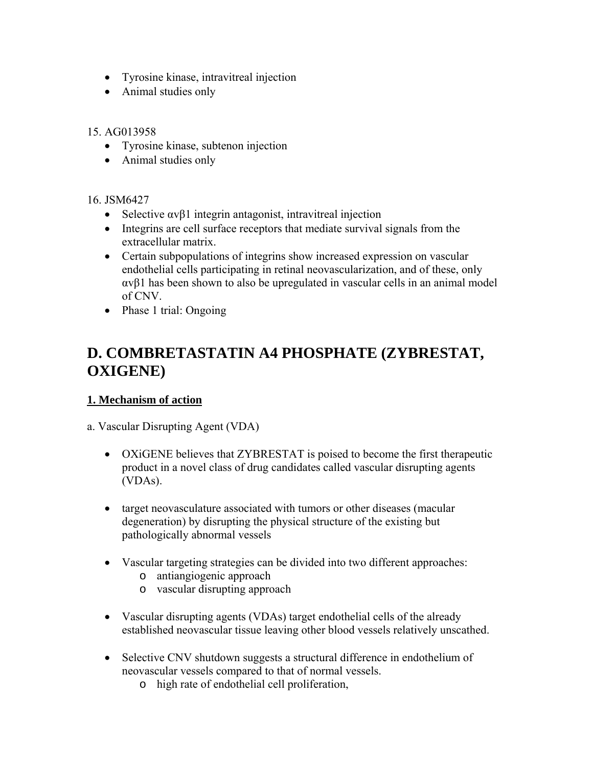- Tyrosine kinase, intravitreal injection
- Animal studies only

#### 15. AG013958

- Tyrosine kinase, subtenon injection
- Animal studies only

#### 16. JSM6427

- Selective  $\alpha$  v $\beta$ 1 integrin antagonist, intravitreal injection
- Integrins are cell surface receptors that mediate survival signals from the extracellular matrix.
- Certain subpopulations of integrins show increased expression on vascular endothelial cells participating in retinal neovascularization, and of these, only αvβ1 has been shown to also be upregulated in vascular cells in an animal model of CNV.
- Phase 1 trial: Ongoing

## **D. COMBRETASTATIN A4 PHOSPHATE (ZYBRESTAT, OXIGENE)**

## **1. Mechanism of action**

a. Vascular Disrupting Agent (VDA)

- OXiGENE believes that ZYBRESTAT is poised to become the first therapeutic product in a novel class of drug candidates called vascular disrupting agents (VDAs).
- target neovasculature associated with tumors or other diseases (macular degeneration) by disrupting the physical structure of the existing but pathologically abnormal vessels
- Vascular targeting strategies can be divided into two different approaches:
	- o antiangiogenic approach
	- o vascular disrupting approach
- Vascular disrupting agents (VDAs) target endothelial cells of the already established neovascular tissue leaving other blood vessels relatively unscathed.
- Selective CNV shutdown suggests a structural difference in endothelium of neovascular vessels compared to that of normal vessels.
	- o high rate of endothelial cell proliferation,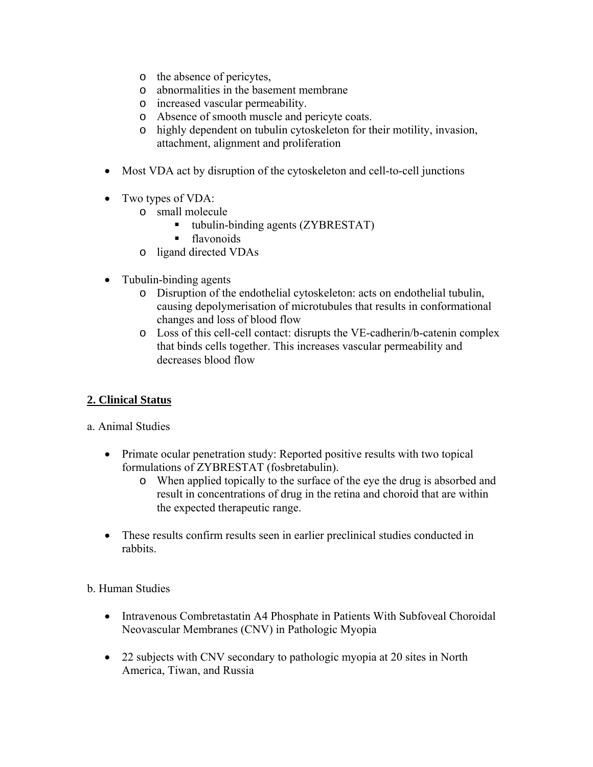- o the absence of pericytes,
- o abnormalities in the basement membrane
- o increased vascular permeability.
- o Absence of smooth muscle and pericyte coats.
- o highly dependent on tubulin cytoskeleton for their motility, invasion, attachment, alignment and proliferation
- Most VDA act by disruption of the cytoskeleton and cell-to-cell junctions
- Two types of VDA:
	- o small molecule
		- tubulin-binding agents (ZYBRESTAT)
		- **flavonoids**
	- o ligand directed VDAs
- Tubulin-binding agents
	- o Disruption of the endothelial cytoskeleton: acts on endothelial tubulin, causing depolymerisation of microtubules that results in conformational changes and loss of blood flow
	- o Loss of this cell-cell contact: disrupts the VE-cadherin/b-catenin complex that binds cells together. This increases vascular permeability and decreases blood flow

#### **2. Clinical Status**

#### a. Animal Studies

- Primate ocular penetration study: Reported positive results with two topical formulations of ZYBRESTAT (fosbretabulin).
	- o When applied topically to the surface of the eye the drug is absorbed and result in concentrations of drug in the retina and choroid that are within the expected therapeutic range.
- These results confirm results seen in earlier preclinical studies conducted in rabbits.

#### b. Human Studies

- Intravenous Combretastatin A4 Phosphate in Patients With Subfoveal Choroidal Neovascular Membranes (CNV) in Pathologic Myopia
- 22 subjects with CNV secondary to pathologic myopia at 20 sites in North America, Tiwan, and Russia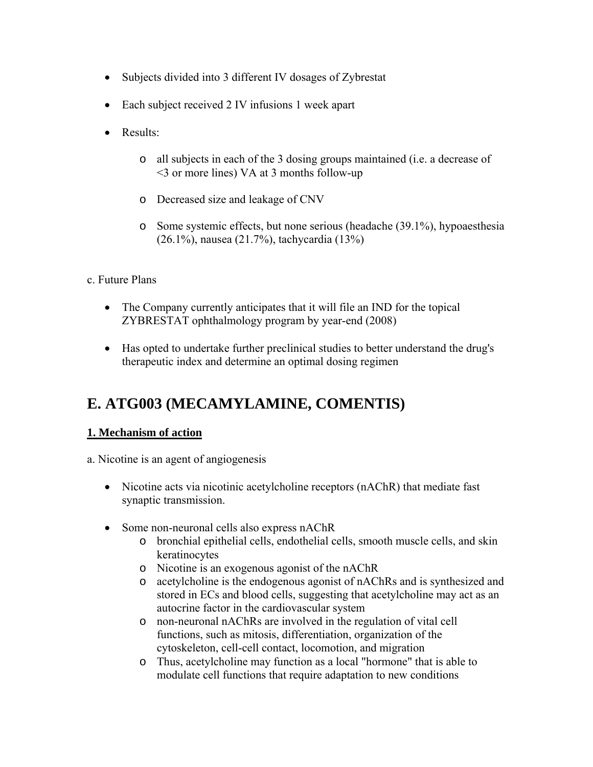- Subjects divided into 3 different IV dosages of Zybrestat
- Each subject received 2 IV infusions 1 week apart
- Results:
	- o all subjects in each of the 3 dosing groups maintained (i.e. a decrease of <3 or more lines) VA at 3 months follow-up
	- o Decreased size and leakage of CNV
	- o Some systemic effects, but none serious (headache (39.1%), hypoaesthesia (26.1%), nausea (21.7%), tachycardia (13%)
- c. Future Plans
	- The Company currently anticipates that it will file an IND for the topical ZYBRESTAT ophthalmology program by year-end (2008)
	- Has opted to undertake further preclinical studies to better understand the drug's therapeutic index and determine an optimal dosing regimen

## **E. ATG003 (MECAMYLAMINE, COMENTIS)**

#### **1. Mechanism of action**

- a. Nicotine is an agent of angiogenesis
	- Nicotine acts via nicotinic acetylcholine receptors (nAChR) that mediate fast synaptic transmission.
	- Some non-neuronal cells also express nAChR
		- o bronchial epithelial cells, endothelial cells, smooth muscle cells, and skin keratinocytes
		- o Nicotine is an exogenous agonist of the nAChR
		- o acetylcholine is the endogenous agonist of nAChRs and is synthesized and stored in ECs and blood cells, suggesting that acetylcholine may act as an autocrine factor in the cardiovascular system
		- o non-neuronal nAChRs are involved in the regulation of vital cell functions, such as mitosis, differentiation, organization of the cytoskeleton, cell-cell contact, locomotion, and migration
		- o Thus, acetylcholine may function as a local "hormone" that is able to modulate cell functions that require adaptation to new conditions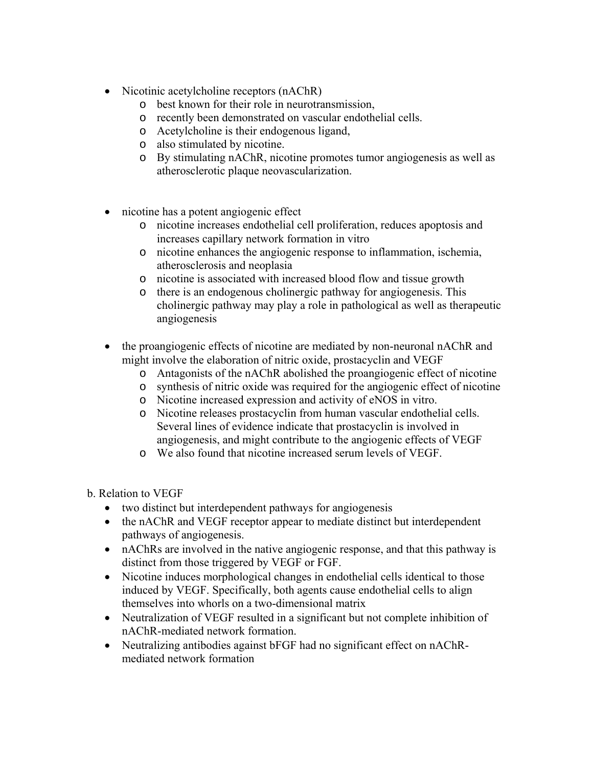- Nicotinic acetylcholine receptors (nAChR)
	- o best known for their role in neurotransmission,
	- o recently been demonstrated on vascular endothelial cells.
	- o Acetylcholine is their endogenous ligand,
	- o also stimulated by nicotine.
	- o By stimulating nAChR, nicotine promotes tumor angiogenesis as well as atherosclerotic plaque neovascularization.
- nicotine has a potent angiogenic effect
	- o nicotine increases endothelial cell proliferation, reduces apoptosis and increases capillary network formation in vitro
	- o nicotine enhances the angiogenic response to inflammation, ischemia, atherosclerosis and neoplasia
	- o nicotine is associated with increased blood flow and tissue growth
	- o there is an endogenous cholinergic pathway for angiogenesis. This cholinergic pathway may play a role in pathological as well as therapeutic angiogenesis
- the proangiogenic effects of nicotine are mediated by non-neuronal nAChR and might involve the elaboration of nitric oxide, prostacyclin and VEGF
	- o Antagonists of the nAChR abolished the proangiogenic effect of nicotine
	- o synthesis of nitric oxide was required for the angiogenic effect of nicotine
	- o Nicotine increased expression and activity of eNOS in vitro.
	- o Nicotine releases prostacyclin from human vascular endothelial cells. Several lines of evidence indicate that prostacyclin is involved in angiogenesis, and might contribute to the angiogenic effects of VEGF
	- o We also found that nicotine increased serum levels of VEGF.
- b. Relation to VEGF
	- two distinct but interdependent pathways for angiogenesis
	- the nAChR and VEGF receptor appear to mediate distinct but interdependent pathways of angiogenesis.
	- nAChRs are involved in the native angiogenic response, and that this pathway is distinct from those triggered by VEGF or FGF.
	- Nicotine induces morphological changes in endothelial cells identical to those induced by VEGF. Specifically, both agents cause endothelial cells to align themselves into whorls on a two-dimensional matrix
	- Neutralization of VEGF resulted in a significant but not complete inhibition of nAChR-mediated network formation.
	- Neutralizing antibodies against bFGF had no significant effect on nAChRmediated network formation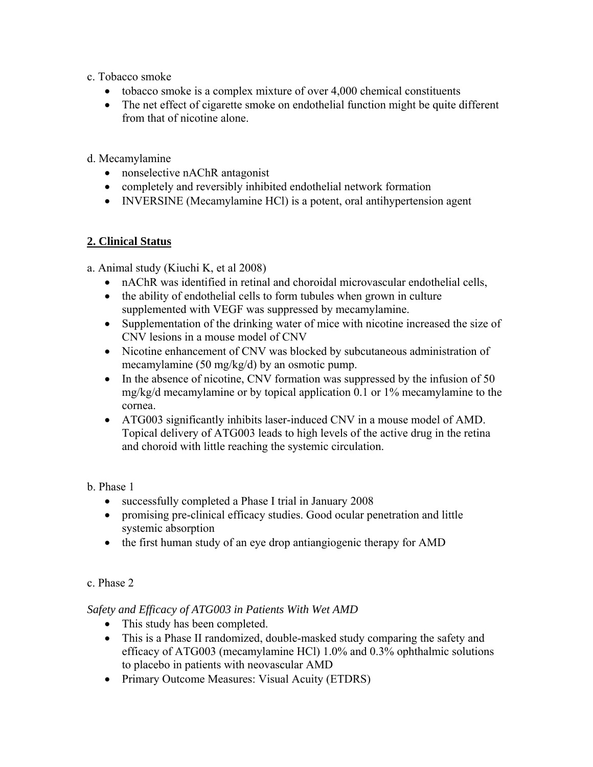- c. Tobacco smoke
	- tobacco smoke is a complex mixture of over 4,000 chemical constituents
	- The net effect of cigarette smoke on endothelial function might be quite different from that of nicotine alone.
- d. Mecamylamine
	- nonselective nAChR antagonist
	- completely and reversibly inhibited endothelial network formation
	- INVERSINE (Mecamylamine HCl) is a potent, oral antihypertension agent

#### **2. Clinical Status**

- a. Animal study (Kiuchi K, et al 2008)
	- nAChR was identified in retinal and choroidal microvascular endothelial cells,
	- the ability of endothelial cells to form tubules when grown in culture supplemented with VEGF was suppressed by mecamylamine.
	- Supplementation of the drinking water of mice with nicotine increased the size of CNV lesions in a mouse model of CNV
	- Nicotine enhancement of CNV was blocked by subcutaneous administration of mecamylamine (50 mg/kg/d) by an osmotic pump.
	- In the absence of nicotine, CNV formation was suppressed by the infusion of 50 mg/kg/d mecamylamine or by topical application 0.1 or 1% mecamylamine to the cornea.
	- ATG003 significantly inhibits laser-induced CNV in a mouse model of AMD. Topical delivery of ATG003 leads to high levels of the active drug in the retina and choroid with little reaching the systemic circulation.

b. Phase 1

- successfully completed a Phase I trial in January 2008
- promising pre-clinical efficacy studies. Good ocular penetration and little systemic absorption
- the first human study of an eye drop antiangiogenic therapy for AMD

#### c. Phase 2

#### *Safety and Efficacy of ATG003 in Patients With Wet AMD*

- This study has been completed.
- This is a Phase II randomized, double-masked study comparing the safety and efficacy of ATG003 (mecamylamine HCl) 1.0% and 0.3% ophthalmic solutions to placebo in patients with neovascular AMD
- Primary Outcome Measures: Visual Acuity (ETDRS)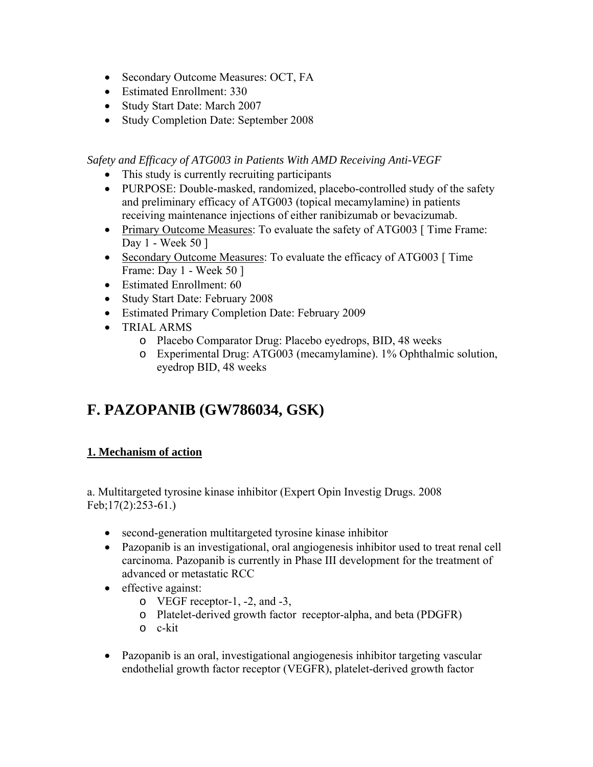- Secondary Outcome Measures: OCT, FA
- Estimated Enrollment: 330
- Study Start Date: March 2007
- Study Completion Date: September 2008

*Safety and Efficacy of ATG003 in Patients With AMD Receiving Anti-VEGF* 

- This study is currently recruiting participants
- PURPOSE: Double-masked, randomized, placebo-controlled study of the safety and preliminary efficacy of ATG003 (topical mecamylamine) in patients receiving maintenance injections of either ranibizumab or bevacizumab.
- Primary Outcome Measures: To evaluate the safety of ATG003 [ Time Frame: Day 1 - Week 50 ]
- Secondary Outcome Measures: To evaluate the efficacy of ATG003 [ Time Frame: Day 1 - Week 50 ]
- Estimated Enrollment: 60
- Study Start Date: February 2008
- Estimated Primary Completion Date: February 2009
- TRIAL ARMS
	- o Placebo Comparator Drug: Placebo eyedrops, BID, 48 weeks
	- o Experimental Drug: ATG003 (mecamylamine). 1% Ophthalmic solution, eyedrop BID, 48 weeks

## **F. PAZOPANIB (GW786034, GSK)**

## **1. Mechanism of action**

a. Multitargeted tyrosine kinase inhibitor (Expert Opin Investig Drugs. 2008 Feb;17(2):253-61.)

- second-generation multitargeted tyrosine kinase inhibitor
- Pazopanib is an investigational, oral angiogenesis inhibitor used to treat renal cell carcinoma. Pazopanib is currently in Phase III development for the treatment of advanced or metastatic RCC
- effective against:
	- o VEGF receptor-1, -2, and -3,
	- o Platelet-derived growth factor receptor-alpha, and beta (PDGFR)
	- o c-kit
- Pazopanib is an oral, investigational angiogenesis inhibitor targeting vascular endothelial growth factor receptor (VEGFR), platelet-derived growth factor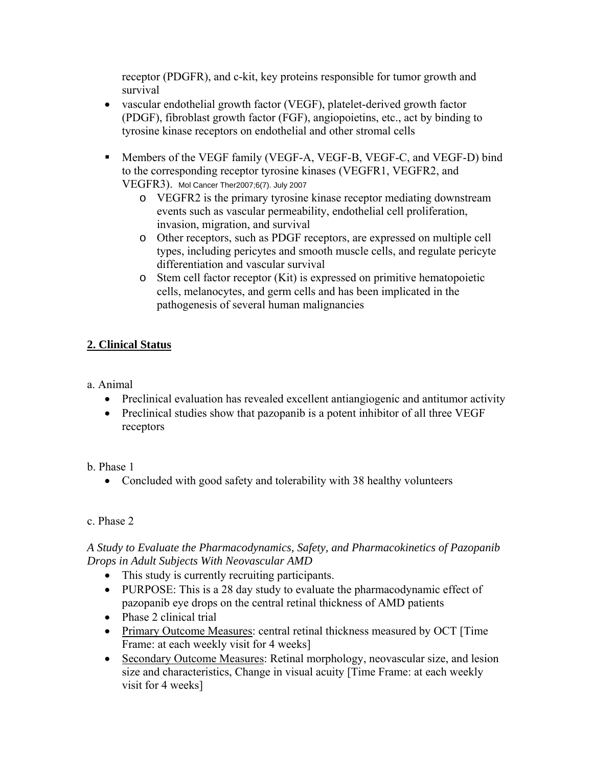receptor (PDGFR), and c-kit, key proteins responsible for tumor growth and survival

- vascular endothelial growth factor (VEGF), platelet-derived growth factor (PDGF), fibroblast growth factor (FGF), angiopoietins, etc., act by binding to tyrosine kinase receptors on endothelial and other stromal cells
- **Members of the VEGF family (VEGF-A, VEGF-B, VEGF-C, and VEGF-D) bind** to the corresponding receptor tyrosine kinases (VEGFR1, VEGFR2, and VEGFR3). Mol Cancer Ther2007;6(7). July 2007
	- o VEGFR2 is the primary tyrosine kinase receptor mediating downstream events such as vascular permeability, endothelial cell proliferation, invasion, migration, and survival
	- o Other receptors, such as PDGF receptors, are expressed on multiple cell types, including pericytes and smooth muscle cells, and regulate pericyte differentiation and vascular survival
	- o Stem cell factor receptor (Kit) is expressed on primitive hematopoietic cells, melanocytes, and germ cells and has been implicated in the pathogenesis of several human malignancies

### **2. Clinical Status**

a. Animal

- Preclinical evaluation has revealed excellent antiangiogenic and antitumor activity
- Preclinical studies show that pazopanib is a potent inhibitor of all three VEGF receptors

#### b. Phase 1

• Concluded with good safety and tolerability with 38 healthy volunteers

#### c. Phase 2

### *A Study to Evaluate the Pharmacodynamics, Safety, and Pharmacokinetics of Pazopanib Drops in Adult Subjects With Neovascular AMD*

- This study is currently recruiting participants.
- PURPOSE: This is a 28 day study to evaluate the pharmacodynamic effect of pazopanib eye drops on the central retinal thickness of AMD patients
- Phase 2 clinical trial
- Primary Outcome Measures: central retinal thickness measured by OCT [Time] Frame: at each weekly visit for 4 weeks]
- Secondary Outcome Measures: Retinal morphology, neovascular size, and lesion size and characteristics, Change in visual acuity [Time Frame: at each weekly visit for 4 weeks]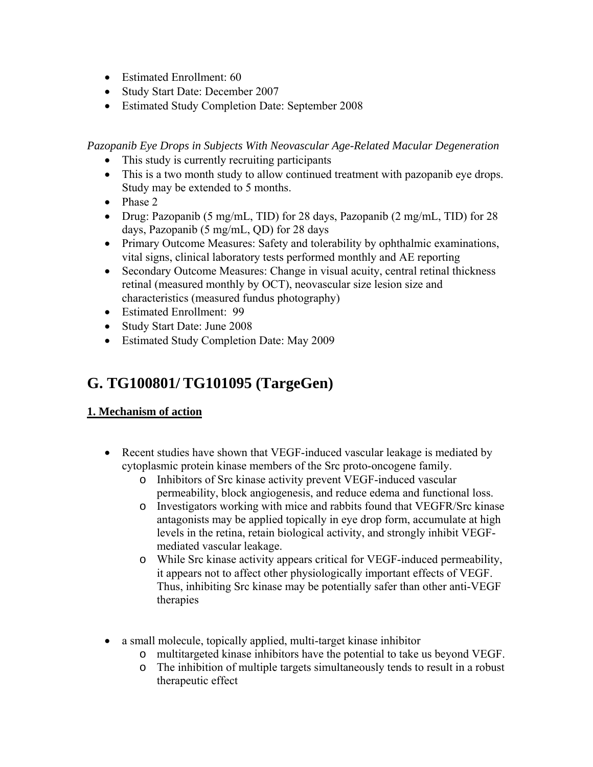- Estimated Enrollment: 60
- Study Start Date: December 2007
- Estimated Study Completion Date: September 2008

*Pazopanib Eye Drops in Subjects With Neovascular Age-Related Macular Degeneration* 

- This study is currently recruiting participants
- This is a two month study to allow continued treatment with pazopanib eye drops. Study may be extended to 5 months.
- Phase 2
- Drug: Pazopanib (5 mg/mL, TID) for 28 days, Pazopanib (2 mg/mL, TID) for 28 days, Pazopanib (5 mg/mL, QD) for 28 days
- Primary Outcome Measures: Safety and tolerability by ophthalmic examinations, vital signs, clinical laboratory tests performed monthly and AE reporting
- Secondary Outcome Measures: Change in visual acuity, central retinal thickness retinal (measured monthly by OCT), neovascular size lesion size and characteristics (measured fundus photography)
- Estimated Enrollment: 99
- Study Start Date: June 2008
- Estimated Study Completion Date: May 2009

## **G. TG100801/ TG101095 (TargeGen)**

## **1. Mechanism of action**

- Recent studies have shown that VEGF-induced vascular leakage is mediated by cytoplasmic protein kinase members of the Src proto-oncogene family.
	- o Inhibitors of Src kinase activity prevent VEGF-induced vascular permeability, block angiogenesis, and reduce edema and functional loss.
	- o Investigators working with mice and rabbits found that VEGFR/Src kinase antagonists may be applied topically in eye drop form, accumulate at high levels in the retina, retain biological activity, and strongly inhibit VEGFmediated vascular leakage.
	- o While Src kinase activity appears critical for VEGF-induced permeability, it appears not to affect other physiologically important effects of VEGF. Thus, inhibiting Src kinase may be potentially safer than other anti-VEGF therapies
- a small molecule, topically applied, multi-target kinase inhibitor
	- o multitargeted kinase inhibitors have the potential to take us beyond VEGF.
	- o The inhibition of multiple targets simultaneously tends to result in a robust therapeutic effect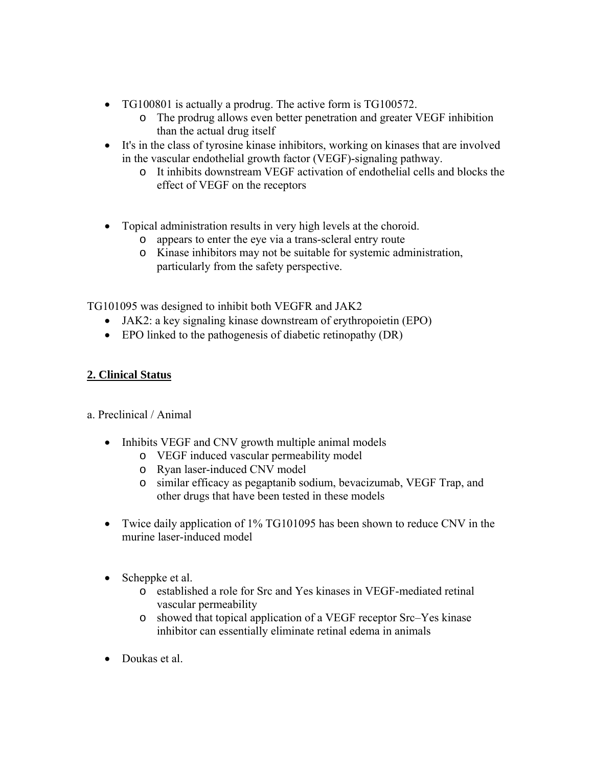- TG100801 is actually a prodrug. The active form is TG100572.
	- o The prodrug allows even better penetration and greater VEGF inhibition than the actual drug itself
- It's in the class of tyrosine kinase inhibitors, working on kinases that are involved in the vascular endothelial growth factor (VEGF)-signaling pathway.
	- o It inhibits downstream VEGF activation of endothelial cells and blocks the effect of VEGF on the receptors
- Topical administration results in very high levels at the choroid.
	- o appears to enter the eye via a trans-scleral entry route
	- o Kinase inhibitors may not be suitable for systemic administration, particularly from the safety perspective.

TG101095 was designed to inhibit both VEGFR and JAK2

- JAK2: a key signaling kinase downstream of erythropoietin (EPO)
- EPO linked to the pathogenesis of diabetic retinopathy (DR)

#### **2. Clinical Status**

a. Preclinical / Animal

- Inhibits VEGF and CNV growth multiple animal models
	- o VEGF induced vascular permeability model
	- o Ryan laser-induced CNV model
	- o similar efficacy as pegaptanib sodium, bevacizumab, VEGF Trap, and other drugs that have been tested in these models
- Twice daily application of 1% TG101095 has been shown to reduce CNV in the murine laser-induced model
- Scheppke et al.
	- o established a role for Src and Yes kinases in VEGF-mediated retinal vascular permeability
	- o showed that topical application of a VEGF receptor Src–Yes kinase inhibitor can essentially eliminate retinal edema in animals
- Doukas et al.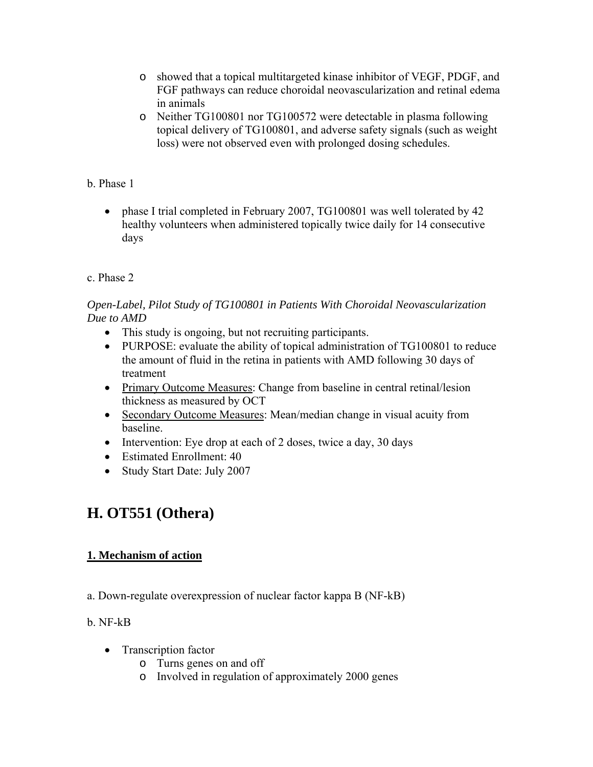- o showed that a topical multitargeted kinase inhibitor of VEGF, PDGF, and FGF pathways can reduce choroidal neovascularization and retinal edema in animals
- o Neither TG100801 nor TG100572 were detectable in plasma following topical delivery of TG100801, and adverse safety signals (such as weight loss) were not observed even with prolonged dosing schedules.

## b. Phase 1

• phase I trial completed in February 2007, TG100801 was well tolerated by 42 healthy volunteers when administered topically twice daily for 14 consecutive days

### c. Phase 2

### *Open-Label, Pilot Study of TG100801 in Patients With Choroidal Neovascularization Due to AMD*

- This study is ongoing, but not recruiting participants.
- PURPOSE: evaluate the ability of topical administration of TG100801 to reduce the amount of fluid in the retina in patients with AMD following 30 days of treatment
- Primary Outcome Measures: Change from baseline in central retinal/lesion thickness as measured by OCT
- Secondary Outcome Measures: Mean/median change in visual acuity from baseline.
- Intervention: Eye drop at each of 2 doses, twice a day, 30 days
- Estimated Enrollment: 40
- Study Start Date: July 2007

## **H. OT551 (Othera)**

## **1. Mechanism of action**

a. Down-regulate overexpression of nuclear factor kappa B (NF-kB)

#### b. NF-kB

- Transcription factor
	- o Turns genes on and off
	- o Involved in regulation of approximately 2000 genes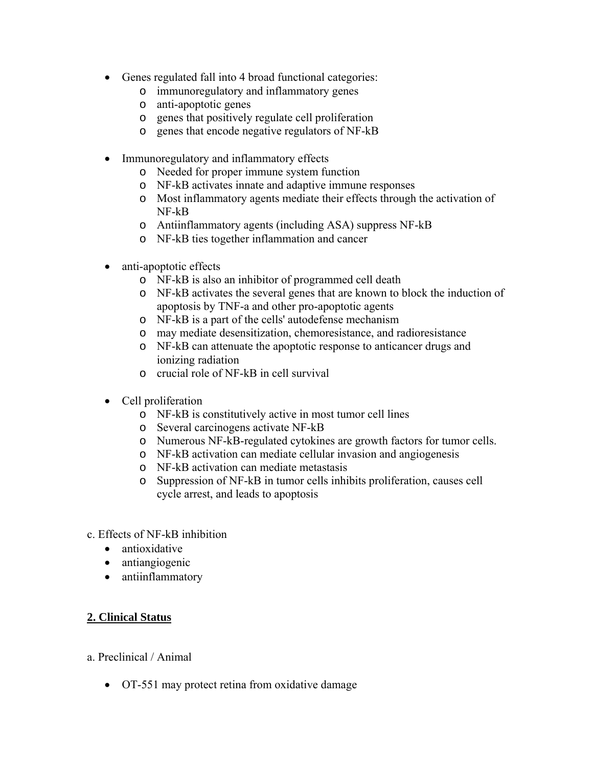- Genes regulated fall into 4 broad functional categories:
	- o immunoregulatory and inflammatory genes
	- o anti-apoptotic genes
	- o genes that positively regulate cell proliferation
	- o genes that encode negative regulators of NF-kB
- Immunoregulatory and inflammatory effects
	- o Needed for proper immune system function
	- o NF-kB activates innate and adaptive immune responses
	- o Most inflammatory agents mediate their effects through the activation of NF-kB
	- o Antiinflammatory agents (including ASA) suppress NF-kB
	- o NF-kB ties together inflammation and cancer
- anti-apoptotic effects
	- o NF-kB is also an inhibitor of programmed cell death
	- o NF-kB activates the several genes that are known to block the induction of apoptosis by TNF-a and other pro-apoptotic agents
	- o NF-kB is a part of the cells' autodefense mechanism
	- o may mediate desensitization, chemoresistance, and radioresistance
	- o NF-kB can attenuate the apoptotic response to anticancer drugs and ionizing radiation
	- o crucial role of NF-kB in cell survival
- Cell proliferation
	- o NF-kB is constitutively active in most tumor cell lines
	- o Several carcinogens activate NF-kB
	- o Numerous NF-kB-regulated cytokines are growth factors for tumor cells.
	- o NF-kB activation can mediate cellular invasion and angiogenesis
	- o NF-kB activation can mediate metastasis
	- o Suppression of NF-kB in tumor cells inhibits proliferation, causes cell cycle arrest, and leads to apoptosis
- c. Effects of NF-kB inhibition
	- antioxidative
	- antiangiogenic
	- antiinflammatory

## **2. Clinical Status**

- a. Preclinical / Animal
	- OT-551 may protect retina from oxidative damage